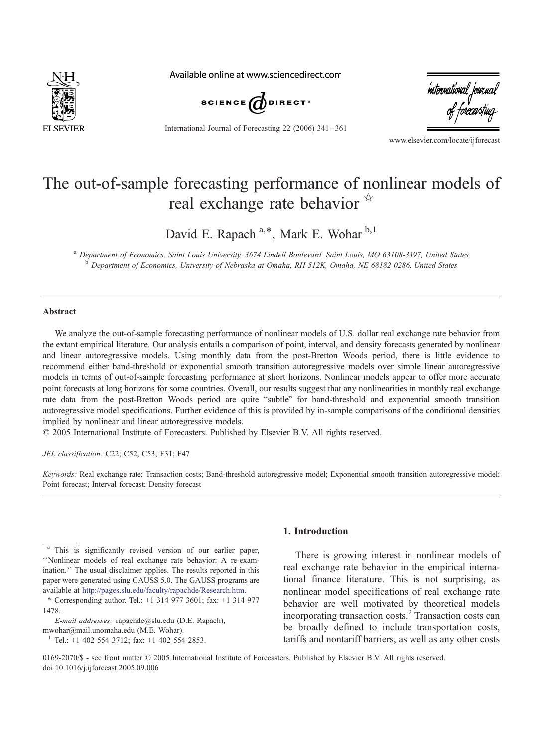

Available online at www.sciencedirect.com



International Journal of Forecasting 22 (2006) 341 – 361

international journa.<br>of forecasting

www.elsevier.com/locate/ijforecast

## The out-of-sample forecasting performance of nonlinear models of real exchange rate behavior  $\mathbb{R}$

David E. Rapach<sup>a,\*</sup>, Mark E. Wohar<sup>b,1</sup>

a Department of Economics, Saint Louis University, 3674 Lindell Boulevard, Saint Louis, MO 63108-3397, United States <sup>b</sup> Department of Economics, University of Nebraska at Omaha, RH 512K, Omaha, NE 68182-0286, United States

## Abstract

We analyze the out-of-sample forecasting performance of nonlinear models of U.S. dollar real exchange rate behavior from the extant empirical literature. Our analysis entails a comparison of point, interval, and density forecasts generated by nonlinear and linear autoregressive models. Using monthly data from the post-Bretton Woods period, there is little evidence to recommend either band-threshold or exponential smooth transition autoregressive models over simple linear autoregressive models in terms of out-of-sample forecasting performance at short horizons. Nonlinear models appear to offer more accurate point forecasts at long horizons for some countries. Overall, our results suggest that any nonlinearities in monthly real exchange rate data from the post-Bretton Woods period are quite "subtle" for band-threshold and exponential smooth transition autoregressive model specifications. Further evidence of this is provided by in-sample comparisons of the conditional densities implied by nonlinear and linear autoregressive models.

 $\heartsuit$  2005 International Institute of Forecasters. Published by Elsevier B.V. All rights reserved.

JEL classification: C22; C52; C53; F31; F47

Keywords: Real exchange rate; Transaction costs; Band-threshold autoregressive model; Exponential smooth transition autoregressive model; Point forecast; Interval forecast; Density forecast

## 1. Introduction

There is growing interest in nonlinear models of real exchange rate behavior in the empirical international finance literature. This is not surprising, as nonlinear model specifications of real exchange rate behavior are well motivated by theoretical models incorporating transaction costs.<sup>2</sup> Transaction costs can be broadly defined to include transportation costs, tariffs and nontariff barriers, as well as any other costs

 $\overrightarrow{a}$  This is significantly revised version of our earlier paper, "Nonlinear models of real exchange rate behavior: A re-examination." The usual disclaimer applies. The results reported in this paper were generated using GAUSS 5.0. The GAUSS programs are available at [http://pages.slu.edu/faculty/rapachde/Research.htm.](http://pages.slu.edu/faculty/rapachde/Research.htm)

<sup>\*</sup> Corresponding author. Tel.: +1 314 977 3601; fax: +1 314 977 1478.

E-mail addresses: rapachde@slu.edu (D.E. Rapach), mwohar@mail.unomaha.edu (M.E. Wohar).

<sup>1</sup> Tel.: +1 402 554 3712; fax: +1 402 554 2853.

<sup>0169-2070/\$ -</sup> see front matter © 2005 International Institute of Forecasters. Published by Elsevier B.V. All rights reserved. doi:10.1016/j.ijforecast.2005.09.006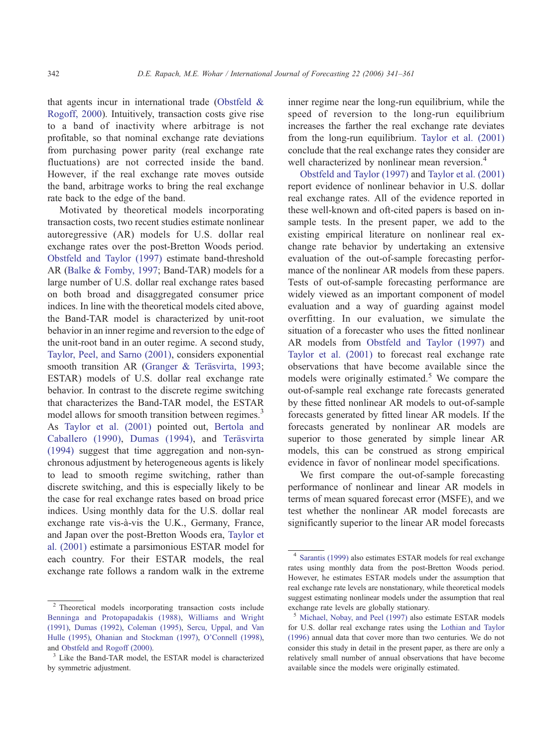that agents incur in international trade ([Obstfeld &](#page--1-0) Rogoff, 2000). Intuitively, transaction costs give rise to a band of inactivity where arbitrage is not profitable, so that nominal exchange rate deviations from purchasing power parity (real exchange rate fluctuations) are not corrected inside the band. However, if the real exchange rate moves outside the band, arbitrage works to bring the real exchange rate back to the edge of the band.

Motivated by theoretical models incorporating transaction costs, two recent studies estimate nonlinear autoregressive (AR) models for U.S. dollar real exchange rates over the post-Bretton Woods period. [Obstfeld and Taylor \(1997\)](#page--1-0) estimate band-threshold AR [\(Balke & Fomby, 1997;](#page--1-0) Band-TAR) models for a large number of U.S. dollar real exchange rates based on both broad and disaggregated consumer price indices. In line with the theoretical models cited above, the Band-TAR model is characterized by unit-root behavior in an inner regime and reversion to the edge of the unit-root band in an outer regime. A second study, [Taylor, Peel, and Sarno \(2001\),](#page--1-0) considers exponential smooth transition AR (Granger & Teräsvirta, 1993; ESTAR) models of U.S. dollar real exchange rate behavior. In contrast to the discrete regime switching that characterizes the Band-TAR model, the ESTAR model allows for smooth transition between regimes.<sup>3</sup> As [Taylor et al. \(2001\)](#page--1-0) pointed out, [Bertola and](#page--1-0) Caballero (1990), [Dumas \(1994\),](#page--1-0) and Teräsvirta (1994) suggest that time aggregation and non-synchronous adjustment by heterogeneous agents is likely to lead to smooth regime switching, rather than discrete switching, and this is especially likely to be the case for real exchange rates based on broad price indices. Using monthly data for the U.S. dollar real exchange rate vis-à-vis the U.K., Germany, France, and Japan over the post-Bretton Woods era, [Taylor et](#page--1-0) al. (2001) estimate a parsimonious ESTAR model for each country. For their ESTAR models, the real exchange rate follows a random walk in the extreme

inner regime near the long-run equilibrium, while the speed of reversion to the long-run equilibrium increases the farther the real exchange rate deviates from the long-run equilibrium. [Taylor et al. \(2001\)](#page--1-0) conclude that the real exchange rates they consider are well characterized by nonlinear mean reversion.<sup>4</sup>

[Obstfeld and Taylor \(1997\)](#page--1-0) and [Taylor et al. \(2001\)](#page--1-0) report evidence of nonlinear behavior in U.S. dollar real exchange rates. All of the evidence reported in these well-known and oft-cited papers is based on insample tests. In the present paper, we add to the existing empirical literature on nonlinear real exchange rate behavior by undertaking an extensive evaluation of the out-of-sample forecasting performance of the nonlinear AR models from these papers. Tests of out-of-sample forecasting performance are widely viewed as an important component of model evaluation and a way of guarding against model overfitting. In our evaluation, we simulate the situation of a forecaster who uses the fitted nonlinear AR models from [Obstfeld and Taylor \(1997\)](#page--1-0) and [Taylor et al. \(2001\)](#page--1-0) to forecast real exchange rate observations that have become available since the models were originally estimated.<sup>5</sup> We compare the out-of-sample real exchange rate forecasts generated by these fitted nonlinear AR models to out-of-sample forecasts generated by fitted linear AR models. If the forecasts generated by nonlinear AR models are superior to those generated by simple linear AR models, this can be construed as strong empirical evidence in favor of nonlinear model specifications.

We first compare the out-of-sample forecasting performance of nonlinear and linear AR models in terms of mean squared forecast error (MSFE), and we test whether the nonlinear AR model forecasts are significantly superior to the linear AR model forecasts

<sup>2</sup> Theoretical models incorporating transaction costs include [Benninga and Protopapadakis \(1988\),](#page--1-0) [Williams and Wright](#page--1-0) (1991), [Dumas \(1992\),](#page--1-0) [Coleman \(1995\),](#page--1-0) [Sercu, Uppal, and Van](#page--1-0) Hulle (1995), [Ohanian and Stockman \(1997\),](#page--1-0) [O'Connell \(1998\),](#page--1-0) and [Obstfeld and Rogoff \(2000\).](#page--1-0)<br><sup>3</sup> Like the Band-TAR model, the ESTAR model is characterized

by symmetric adjustment.

<sup>4</sup> [Sarantis \(1999\)](#page--1-0) also estimates ESTAR models for real exchange rates using monthly data from the post-Bretton Woods period. However, he estimates ESTAR models under the assumption that real exchange rate levels are nonstationary, while theoretical models suggest estimating nonlinear models under the assumption that real exchange rate levels are globally stationary.

<sup>5</sup> [Michael, Nobay, and Peel \(1997\)](#page--1-0) also estimate ESTAR models for U.S. dollar real exchange rates using the [Lothian and Taylor](#page--1-0) (1996) annual data that cover more than two centuries. We do not consider this study in detail in the present paper, as there are only a relatively small number of annual observations that have become available since the models were originally estimated.